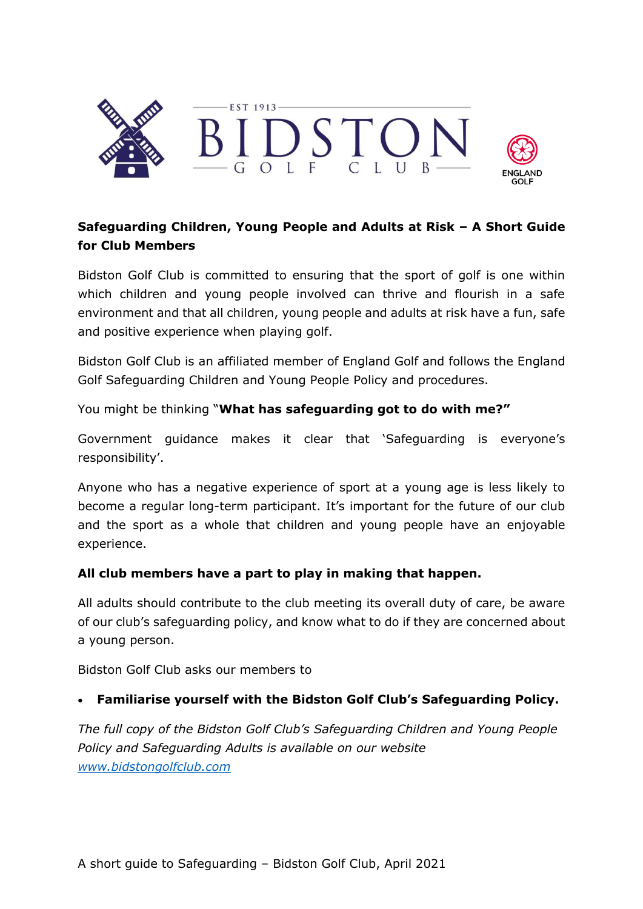

# **Safeguarding Children, Young People and Adults at Risk – A Short Guide for Club Members**

Bidston Golf Club is committed to ensuring that the sport of golf is one within which children and young people involved can thrive and flourish in a safe environment and that all children, young people and adults at risk have a fun, safe and positive experience when playing golf.

Bidston Golf Club is an affiliated member of England Golf and follows the England Golf Safeguarding Children and Young People Policy and procedures.

You might be thinking "**What has safeguarding got to do with me?"**

Government guidance makes it clear that 'Safeguarding is everyone's responsibility'.

Anyone who has a negative experience of sport at a young age is less likely to become a regular long-term participant. It's important for the future of our club and the sport as a whole that children and young people have an enjoyable experience.

### **All club members have a part to play in making that happen.**

All adults should contribute to the club meeting its overall duty of care, be aware of our club's safeguarding policy, and know what to do if they are concerned about a young person.

Bidston Golf Club asks our members to

### • **Familiarise yourself with the Bidston Golf Club's Safeguarding Policy.**

*The full copy of the Bidston Golf Club's Safeguarding Children and Young People Policy and Safeguarding Adults is available on our website [www.bidstongolfclub.com](http://www.bidstongolfclub.com/)*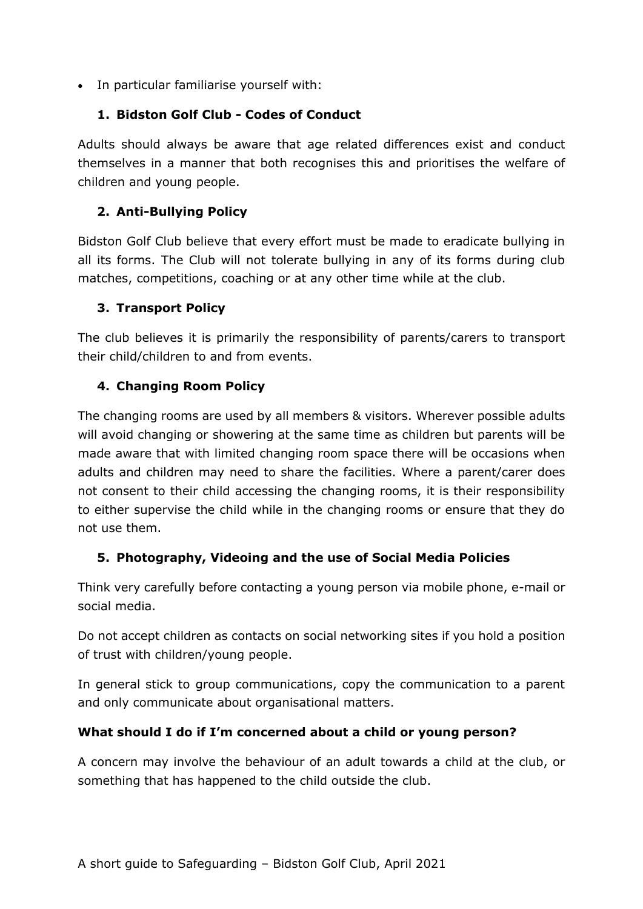• In particular familiarise yourself with:

# **1. Bidston Golf Club - Codes of Conduct**

Adults should always be aware that age related differences exist and conduct themselves in a manner that both recognises this and prioritises the welfare of children and young people.

# **2. Anti-Bullying Policy**

Bidston Golf Club believe that every effort must be made to eradicate bullying in all its forms. The Club will not tolerate bullying in any of its forms during club matches, competitions, coaching or at any other time while at the club.

### **3. Transport Policy**

The club believes it is primarily the responsibility of parents/carers to transport their child/children to and from events.

### **4. Changing Room Policy**

The changing rooms are used by all members & visitors. Wherever possible adults will avoid changing or showering at the same time as children but parents will be made aware that with limited changing room space there will be occasions when adults and children may need to share the facilities. Where a parent/carer does not consent to their child accessing the changing rooms, it is their responsibility to either supervise the child while in the changing rooms or ensure that they do not use them.

### **5. Photography, Videoing and the use of Social Media Policies**

Think very carefully before contacting a young person via mobile phone, e-mail or social media.

Do not accept children as contacts on social networking sites if you hold a position of trust with children/young people.

In general stick to group communications, copy the communication to a parent and only communicate about organisational matters.

### **What should I do if I'm concerned about a child or young person?**

A concern may involve the behaviour of an adult towards a child at the club, or something that has happened to the child outside the club.